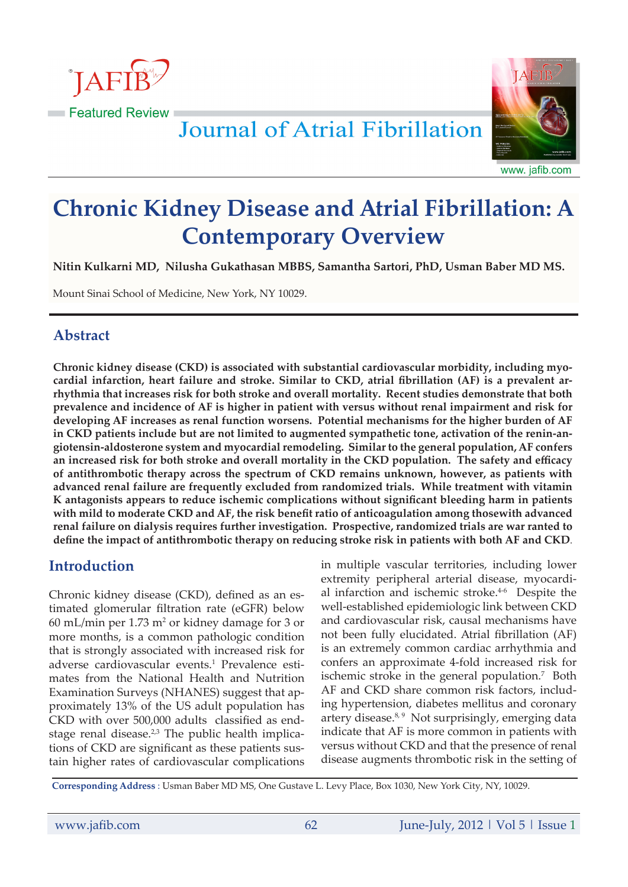

Journal of Atrial Fibrillation



www. jafib.com

# **Chronic Kidney Disease and Atrial Fibrillation: A Contemporary Overview**

**Nitin Kulkarni MD, Nilusha Gukathasan MBBS, Samantha Sartori, PhD, Usman Baber MD MS.**

Mount Sinai School of Medicine, New York, NY 10029.

# **Abstract**

**Chronic kidney disease (CKD) is associated with substantial cardiovascular morbidity, including myocardial infarction, heart failure and stroke. Similar to CKD, atrial fibrillation (AF) is a prevalent arrhythmia that increases risk for both stroke and overall mortality. Recent studies demonstrate that both prevalence and incidence of AF is higher in patient with versus without renal impairment and risk for developing AF increases as renal function worsens. Potential mechanisms for the higher burden of AF in CKD patients include but are not limited to augmented sympathetic tone, activation of the renin-angiotensin-aldosterone system and myocardial remodeling. Similar to the general population, AF confers an increased risk for both stroke and overall mortality in the CKD population. The safety and efficacy of antithrombotic therapy across the spectrum of CKD remains unknown, however, as patients with advanced renal failure are frequently excluded from randomized trials. While treatment with vitamin K antagonists appears to reduce ischemic complications without significant bleeding harm in patients with mild to moderate CKD and AF, the risk benefit ratio of anticoagulation among thosewith advanced renal failure on dialysis requires further investigation. Prospective, randomized trials are war ranted to define the impact of antithrombotic therapy on reducing stroke risk in patients with both AF and CKD**.

# **Introduction**

Chronic kidney disease (CKD), defined as an estimated glomerular filtration rate (eGFR) below  $60$  mL/min per 1.73 m<sup>2</sup> or kidney damage for 3 or more months, is a common pathologic condition that is strongly associated with increased risk for adverse cardiovascular events.<sup>1</sup> Prevalence estimates from the National Health and Nutrition Examination Surveys (NHANES) suggest that approximately 13% of the US adult population has CKD with over 500,000 adults classified as endstage renal disease. $2,3$  The public health implications of CKD are significant as these patients sustain higher rates of cardiovascular complications

in multiple vascular territories, including lower extremity peripheral arterial disease, myocardial infarction and ischemic stroke.<sup>4-6</sup> Despite the well-established epidemiologic link between CKD and cardiovascular risk, causal mechanisms have not been fully elucidated. Atrial fibrillation (AF) is an extremely common cardiac arrhythmia and confers an approximate 4-fold increased risk for ischemic stroke in the general population.<sup>7</sup> Both AF and CKD share common risk factors, including hypertension, diabetes mellitus and coronary artery disease. $8,9$  Not surprisingly, emerging data indicate that AF is more common in patients with versus without CKD and that the presence of renal disease augments thrombotic risk in the setting of

**Corresponding Address** : Usman Baber MD MS, One Gustave L. Levy Place, Box 1030, New York City, NY, 10029.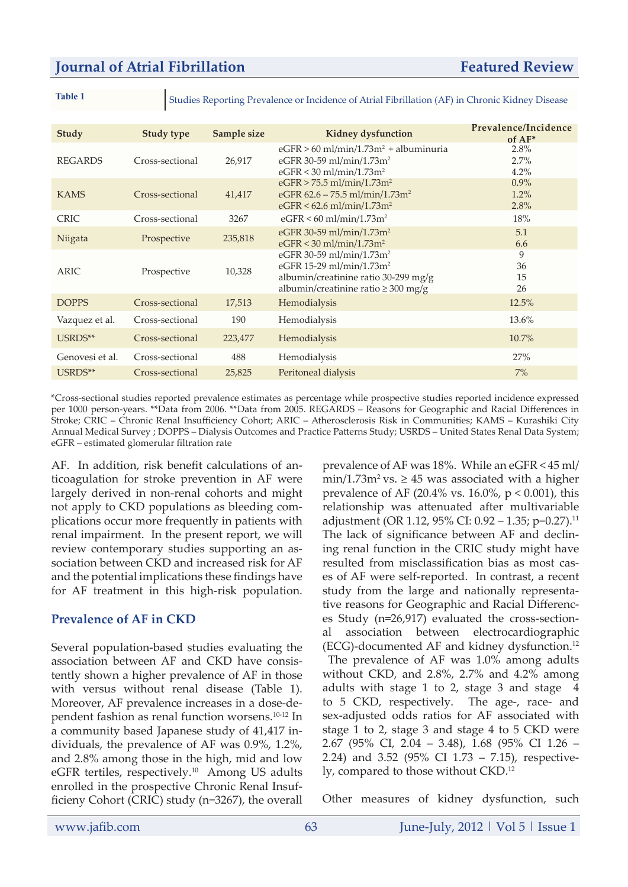**Table 1** Studies Reporting Prevalence or Incidence of Atrial Fibrillation (AF) in Chronic Kidney Disease

| Study           | <b>Study type</b> | Sample size | <b>Kidney dysfunction</b>                                                                                                                                        | Prevalence/Incidence<br>$of AF*$ |
|-----------------|-------------------|-------------|------------------------------------------------------------------------------------------------------------------------------------------------------------------|----------------------------------|
| <b>REGARDS</b>  | Cross-sectional   | 26,917      | $eGFR > 60$ ml/min/1.73m <sup>2</sup> + albuminuria<br>eGFR 30-59 ml/min/1.73m <sup>2</sup><br>$eGFR < 30$ ml/min/1.73m <sup>2</sup>                             | 2.8%<br>2.7%<br>4.2%             |
| <b>KAMS</b>     | Cross-sectional   | 41,417      | $eGFR > 75.5$ ml/min/1.73m <sup>2</sup><br>eGFR $62.6 - 75.5$ ml/min/1.73m <sup>2</sup><br>$eGFR < 62.6$ ml/min/1.73m <sup>2</sup>                               | $0.9\%$<br>1.2%<br>2.8%          |
| <b>CRIC</b>     | Cross-sectional   | 3267        | $eGFR < 60$ ml/min/1.73m <sup>2</sup>                                                                                                                            | 18%                              |
| Niigata         | Prospective       | 235,818     | eGFR 30-59 ml/min/1.73m <sup>2</sup><br>$eGFR < 30$ ml/min/1.73m <sup>2</sup>                                                                                    | 5.1<br>6.6                       |
| <b>ARIC</b>     | Prospective       | 10,328      | eGFR 30-59 ml/min/1.73m <sup>2</sup><br>eGFR 15-29 ml/min/1.73m <sup>2</sup><br>albumin/creatinine ratio 30-299 mg/g<br>albumin/creatinine ratio $\geq 300$ mg/g | 9<br>36<br>15<br>26              |
| <b>DOPPS</b>    | Cross-sectional   | 17,513      | Hemodialysis                                                                                                                                                     | 12.5%                            |
| Vazquez et al.  | Cross-sectional   | 190         | Hemodialysis                                                                                                                                                     | 13.6%                            |
| USRDS**         | Cross-sectional   | 223,477     | Hemodialysis                                                                                                                                                     | $10.7\%$                         |
| Genovesi et al. | Cross-sectional   | 488         | Hemodialysis                                                                                                                                                     | 27%                              |
| USRDS**         | Cross-sectional   | 25,825      | Peritoneal dialysis                                                                                                                                              | 7%                               |

\*Cross-sectional studies reported prevalence estimates as percentage while prospective studies reported incidence expressed per 1000 person-years. \*\*Data from 2006. \*\*Data from 2005. REGARDS – Reasons for Geographic and Racial Differences in Stroke; CRIC – Chronic Renal Insufficiency Cohort; ARIC – Atherosclerosis Risk in Communities; KAMS – Kurashiki City Annual Medical Survey ; DOPPS – Dialysis Outcomes and Practice Patterns Study; USRDS – United States Renal Data System; eGFR – estimated glomerular filtration rate

AF. In addition, risk benefit calculations of anticoagulation for stroke prevention in AF were largely derived in non-renal cohorts and might not apply to CKD populations as bleeding complications occur more frequently in patients with renal impairment. In the present report, we will review contemporary studies supporting an association between CKD and increased risk for AF and the potential implications these findings have for AF treatment in this high-risk population.

## **Prevalence of AF in CKD**

Several population-based studies evaluating the association between AF and CKD have consistently shown a higher prevalence of AF in those with versus without renal disease (Table 1). Moreover, AF prevalence increases in a dose-dependent fashion as renal function worsens.10-12 In a community based Japanese study of 41,417 individuals, the prevalence of AF was 0.9%, 1.2%, and 2.8% among those in the high, mid and low eGFR tertiles, respectively.<sup>10</sup> Among US adults enrolled in the prospective Chronic Renal Insufficieny Cohort (CRIC) study (n=3267), the overall prevalence of AF was 18%. While an eGFR < 45 ml/ min/1.73m<sup>2</sup> vs.  $\geq$  45 was associated with a higher prevalence of AF (20.4% vs. 16.0%,  $p < 0.001$ ), this relationship was attenuated after multivariable adjustment (OR 1.12, 95% CI: 0.92 – 1.35; p=0.27).<sup>11</sup> The lack of significance between AF and declining renal function in the CRIC study might have resulted from misclassification bias as most cases of AF were self-reported. In contrast, a recent study from the large and nationally representative reasons for Geographic and Racial Differences Study (n=26,917) evaluated the cross-sectional association between electrocardiographic (ECG)-documented AF and kidney dysfunction.<sup>12</sup>

 The prevalence of AF was 1.0% among adults without CKD, and 2.8%, 2.7% and 4.2% among adults with stage 1 to 2, stage 3 and stage 4 to 5 CKD, respectively. The age-, race- and sex-adjusted odds ratios for AF associated with stage 1 to 2, stage 3 and stage 4 to 5 CKD were 2.67 (95% CI, 2.04 – 3.48), 1.68 (95% CI 1.26 – 2.24) and 3.52 (95% CI 1.73 – 7.15), respectively, compared to those without CKD.<sup>12</sup>

Other measures of kidney dysfunction, such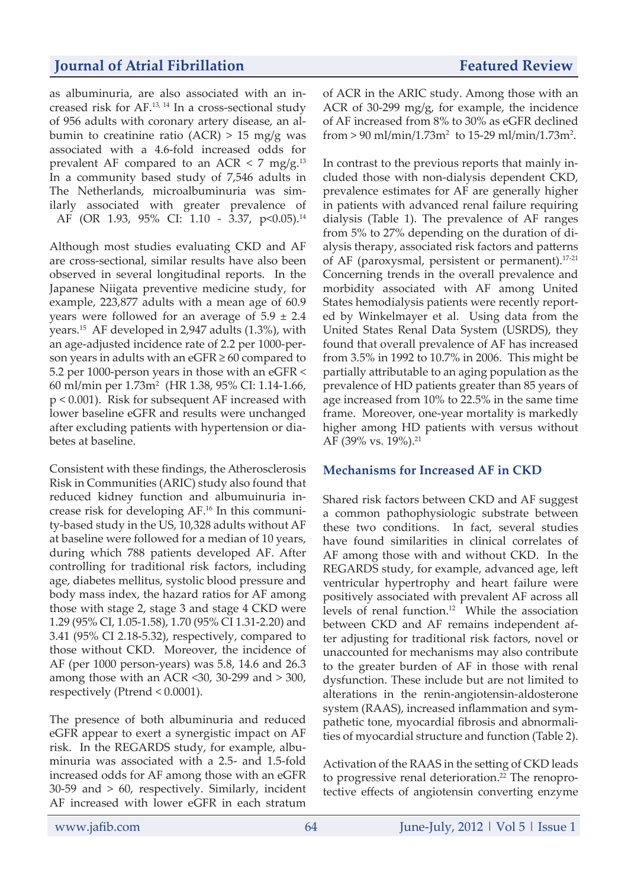as albuminuria, are also associated with an increased risk for AF.13, 14 In a cross-sectional study of 956 adults with coronary artery disease, an albumin to creatinine ratio  $(ACR) > 15$  mg/g was associated with a 4.6-fold increased odds for prevalent AF compared to an ACR  $\lt$  7 mg/g.<sup>13</sup> In a community based study of 7,546 adults in The Netherlands, microalbuminuria was similarly associated with greater prevalence of AF (OR 1.93, 95% CI: 1.10 - 3.37, p<0.05).<sup>14</sup>

Although most studies evaluating CKD and AF are cross-sectional, similar results have also been observed in several longitudinal reports. In the Japanese Niigata preventive medicine study, for example, 223,877 adults with a mean age of 60.9 years were followed for an average of  $5.9 \pm 2.4$ years.15 AF developed in 2,947 adults (1.3%), with an age-adjusted incidence rate of 2.2 per 1000-person years in adults with an  $eGFR \ge 60$  compared to 5.2 per 1000-person years in those with an eGFR < 60 ml/min per 1.73m2 (HR 1.38, 95% CI: 1.14-1.66, p < 0.001). Risk for subsequent AF increased with lower baseline eGFR and results were unchanged after excluding patients with hypertension or diabetes at baseline.

Consistent with these findings, the Atherosclerosis Risk in Communities (ARIC) study also found that reduced kidney function and albumuinuria increase risk for developing AF.16 In this community-based study in the US, 10,328 adults without AF at baseline were followed for a median of 10 years, during which 788 patients developed AF. After controlling for traditional risk factors, including age, diabetes mellitus, systolic blood pressure and body mass index, the hazard ratios for AF among those with stage 2, stage 3 and stage 4 CKD were 1.29 (95% CI, 1.05-1.58), 1.70 (95% CI 1.31-2.20) and 3.41 (95% CI 2.18-5.32), respectively, compared to those without CKD. Moreover, the incidence of AF (per 1000 person-years) was 5.8, 14.6 and 26.3 among those with an ACR <30, 30-299 and  $>$  300, respectively (Ptrend < 0.0001).

The presence of both albuminuria and reduced eGFR appear to exert a synergistic impact on AF risk. In the REGARDS study, for example, albuminuria was associated with a 2.5- and 1.5-fold increased odds for AF among those with an eGFR 30-59 and > 60, respectively. Similarly, incident AF increased with lower eGFR in each stratum of ACR in the ARIC study. Among those with an ACR of 30-299 mg/g, for example, the incidence of AF increased from 8% to 30% as eGFR declined from  $> 90 \text{ ml/min}/1.73 \text{ m}^2$  to 15-29 ml/min/1.73m<sup>2</sup>.

In contrast to the previous reports that mainly included those with non-dialysis dependent CKD, prevalence estimates for AF are generally higher in patients with advanced renal failure requiring dialysis (Table 1). The prevalence of AF ranges from 5% to 27% depending on the duration of dialysis therapy, associated risk factors and patterns of AF (paroxysmal, persistent or permanent).17-21 Concerning trends in the overall prevalence and morbidity associated with AF among United States hemodialysis patients were recently reported by Winkelmayer et al. Using data from the United States Renal Data System (USRDS), they found that overall prevalence of AF has increased from 3.5% in 1992 to 10.7% in 2006. This might be partially attributable to an aging population as the prevalence of HD patients greater than 85 years of age increased from 10% to 22.5% in the same time frame. Moreover, one-year mortality is markedly higher among HD patients with versus without AF (39% vs. 19%).<sup>21</sup>

## **Mechanisms for Increased AF in CKD**

Shared risk factors between CKD and AF suggest a common pathophysiologic substrate between these two conditions. In fact, several studies have found similarities in clinical correlates of AF among those with and without CKD. In the REGARDS study, for example, advanced age, left ventricular hypertrophy and heart failure were positively associated with prevalent AF across all levels of renal function.12 While the association between CKD and AF remains independent after adjusting for traditional risk factors, novel or unaccounted for mechanisms may also contribute to the greater burden of AF in those with renal dysfunction. These include but are not limited to alterations in the renin-angiotensin-aldosterone system (RAAS), increased inflammation and sympathetic tone, myocardial fibrosis and abnormalities of myocardial structure and function (Table 2).

Activation of the RAAS in the setting of CKD leads to progressive renal deterioration.<sup>22</sup> The renoprotective effects of angiotensin converting enzyme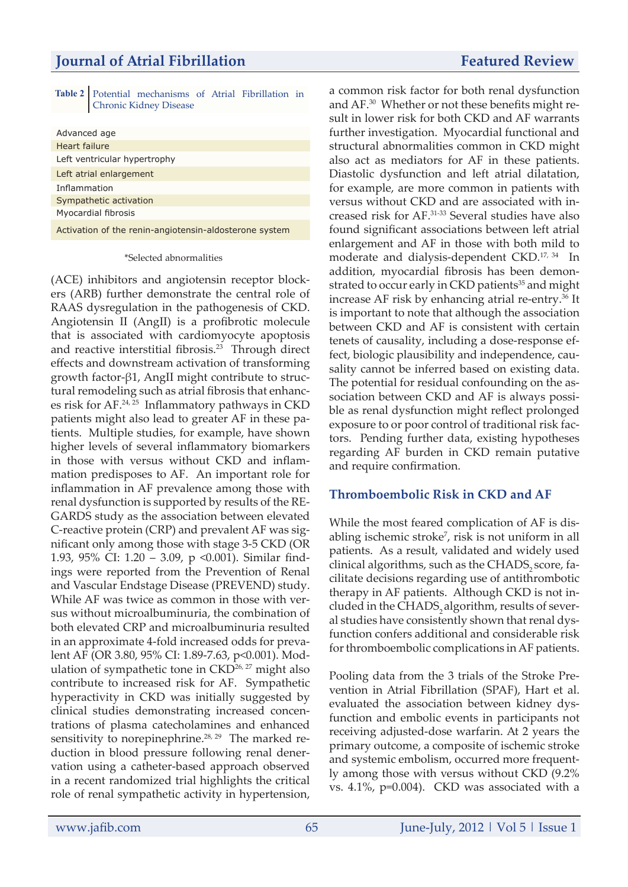|                        | Table 2   Potential mechanisms of Atrial Fibrillation in |  |  |  |
|------------------------|----------------------------------------------------------|--|--|--|
| Chronic Kidney Disease |                                                          |  |  |  |

| Advanced age                                           |
|--------------------------------------------------------|
| Heart failure                                          |
| Left ventricular hypertrophy                           |
| Left atrial enlargement                                |
| Inflammation                                           |
| Sympathetic activation                                 |
| Myocardial fibrosis                                    |
| Activation of the renin-angiotensin-aldosterone system |

#### \*Selected abnormalities

(ACE) inhibitors and angiotensin receptor blockers (ARB) further demonstrate the central role of RAAS dysregulation in the pathogenesis of CKD. Angiotensin II (AngII) is a profibrotic molecule that is associated with cardiomyocyte apoptosis and reactive interstitial fibrosis.<sup>23</sup> Through direct effects and downstream activation of transforming growth factor-β1, AngII might contribute to structural remodeling such as atrial fibrosis that enhances risk for AF.24, 25 Inflammatory pathways in CKD patients might also lead to greater AF in these patients. Multiple studies, for example, have shown higher levels of several inflammatory biomarkers in those with versus without CKD and inflammation predisposes to AF. An important role for inflammation in AF prevalence among those with renal dysfunction is supported by results of the RE-GARDS study as the association between elevated C-reactive protein (CRP) and prevalent AF was significant only among those with stage 3-5 CKD (OR 1.93, 95% CI: 1.20 – 3.09, p <0.001). Similar findings were reported from the Prevention of Renal and Vascular Endstage Disease (PREVEND) study. While AF was twice as common in those with versus without microalbuminuria, the combination of both elevated CRP and microalbuminuria resulted in an approximate 4-fold increased odds for prevalent AF (OR 3.80, 95% CI: 1.89-7.63, p<0.001). Modulation of sympathetic tone in CKD<sup>26, 27</sup> might also contribute to increased risk for AF. Sympathetic hyperactivity in CKD was initially suggested by clinical studies demonstrating increased concentrations of plasma catecholamines and enhanced sensitivity to norepinephrine. $28, 29$  The marked reduction in blood pressure following renal denervation using a catheter-based approach observed in a recent randomized trial highlights the critical role of renal sympathetic activity in hypertension,

a common risk factor for both renal dysfunction and AF.30 Whether or not these benefits might result in lower risk for both CKD and AF warrants further investigation. Myocardial functional and structural abnormalities common in CKD might also act as mediators for AF in these patients. Diastolic dysfunction and left atrial dilatation, for example, are more common in patients with versus without CKD and are associated with increased risk for AF.31-33 Several studies have also found significant associations between left atrial enlargement and AF in those with both mild to moderate and dialysis-dependent CKD.17, 34 In addition, myocardial fibrosis has been demonstrated to occur early in CKD patients<sup>35</sup> and might increase AF risk by enhancing atrial re-entry.<sup>36</sup> It is important to note that although the association between CKD and AF is consistent with certain tenets of causality, including a dose-response effect, biologic plausibility and independence, causality cannot be inferred based on existing data. The potential for residual confounding on the association between CKD and AF is always possible as renal dysfunction might reflect prolonged exposure to or poor control of traditional risk factors. Pending further data, existing hypotheses regarding AF burden in CKD remain putative and require confirmation.

#### **Thromboembolic Risk in CKD and AF**

While the most feared complication of AF is disabling ischemic stroke<sup>7</sup>, risk is not uniform in all patients. As a result, validated and widely used clinical algorithms, such as the CHADS, score, facilitate decisions regarding use of antithrombotic therapy in AF patients. Although CKD is not included in the CHADS, algorithm, results of several studies have consistently shown that renal dysfunction confers additional and considerable risk for thromboembolic complications in AF patients.

Pooling data from the 3 trials of the Stroke Prevention in Atrial Fibrillation (SPAF), Hart et al. evaluated the association between kidney dysfunction and embolic events in participants not receiving adjusted-dose warfarin. At 2 years the primary outcome, a composite of ischemic stroke and systemic embolism, occurred more frequently among those with versus without CKD (9.2% vs. 4.1%, p=0.004). CKD was associated with a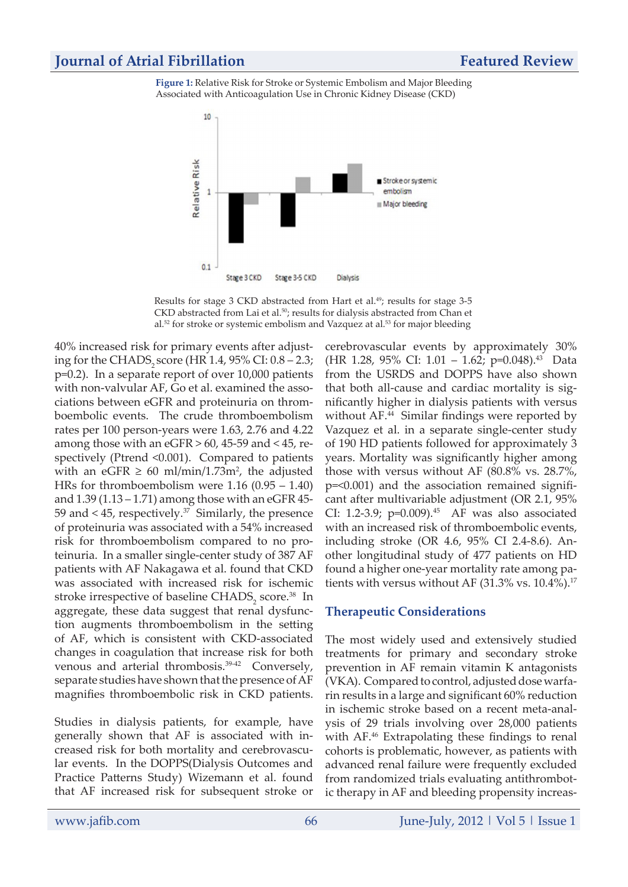## **Journal of Atrial Fibrillation Featured Review Featured Review**

**Figure 1:** Relative Risk for Stroke or Systemic Embolism and Major Bleeding Associated with Anticoagulation Use in Chronic Kidney Disease (CKD)



Results for stage 3 CKD abstracted from Hart et al.<sup>49</sup>; results for stage 3-5 CKD abstracted from Lai et al.<sup>50</sup>; results for dialysis abstracted from Chan et al.<sup>52</sup> for stroke or systemic embolism and Vazquez at al.<sup>53</sup> for major bleeding

40% increased risk for primary events after adjusting for the CHADS, score (HR 1.4,  $95\%$  CI:  $0.8 - 2.3$ ; p=0.2). In a separate report of over 10,000 patients with non-valvular AF, Go et al. examined the associations between eGFR and proteinuria on thromboembolic events. The crude thromboembolism rates per 100 person-years were 1.63, 2.76 and 4.22 among those with an eGFR  $> 60$ , 45-59 and  $< 45$ , respectively (Ptrend <0.001). Compared to patients with an eGFR  $\geq 60$  ml/min/1.73m<sup>2</sup>, the adjusted HRs for thromboembolism were 1.16 (0.95 – 1.40) and  $1.39$  (1.13 – 1.71) among those with an eGFR 45-59 and  $<$  45, respectively.<sup>37</sup> Similarly, the presence of proteinuria was associated with a 54% increased risk for thromboembolism compared to no proteinuria. In a smaller single-center study of 387 AF patients with AF Nakagawa et al. found that CKD was associated with increased risk for ischemic stroke irrespective of baseline  $\text{CHADS}_2$  score.<sup>38</sup> In aggregate, these data suggest that renal dysfunction augments thromboembolism in the setting of AF, which is consistent with CKD-associated changes in coagulation that increase risk for both venous and arterial thrombosis.39-42 Conversely, separate studies have shown that the presence of AF magnifies thromboembolic risk in CKD patients.

Studies in dialysis patients, for example, have generally shown that AF is associated with increased risk for both mortality and cerebrovascular events. In the DOPPS(Dialysis Outcomes and Practice Patterns Study) Wizemann et al. found that AF increased risk for subsequent stroke or cerebrovascular events by approximately 30% (HR 1.28, 95% CI: 1.01 - 1.62; p=0.048).<sup>43</sup> Data from the USRDS and DOPPS have also shown that both all-cause and cardiac mortality is significantly higher in dialysis patients with versus without AF.<sup>44</sup> Similar findings were reported by Vazquez et al. in a separate single-center study of 190 HD patients followed for approximately 3 years. Mortality was significantly higher among those with versus without AF (80.8% vs. 28.7%, p=<0.001) and the association remained significant after multivariable adjustment (OR 2.1, 95% CI: 1.2-3.9;  $p=0.009$ ).<sup>45</sup> AF was also associated with an increased risk of thromboembolic events, including stroke (OR 4.6, 95% CI 2.4-8.6). Another longitudinal study of 477 patients on HD found a higher one-year mortality rate among patients with versus without AF  $(31.3\% \text{ vs. } 10.4\%).^{17}$ 

#### **Therapeutic Considerations**

The most widely used and extensively studied treatments for primary and secondary stroke prevention in AF remain vitamin K antagonists (VKA). Compared to control, adjusted dose warfarin results in a large and significant 60% reduction in ischemic stroke based on a recent meta-analysis of 29 trials involving over 28,000 patients with AF.<sup>46</sup> Extrapolating these findings to renal cohorts is problematic, however, as patients with advanced renal failure were frequently excluded from randomized trials evaluating antithrombotic therapy in AF and bleeding propensity increas-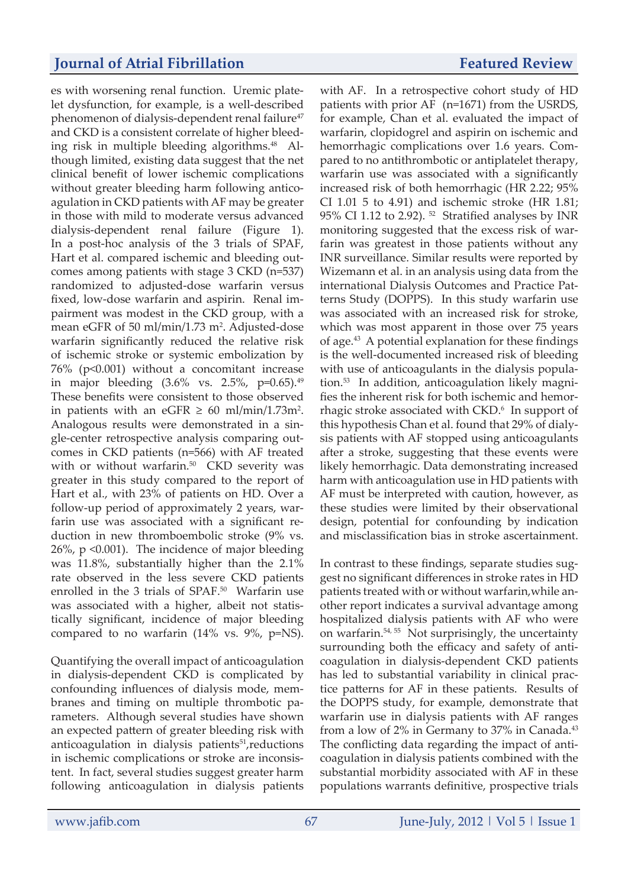es with worsening renal function. Uremic platelet dysfunction, for example, is a well-described phenomenon of dialysis-dependent renal failure<sup>47</sup> and CKD is a consistent correlate of higher bleeding risk in multiple bleeding algorithms. $48$  Although limited, existing data suggest that the net clinical benefit of lower ischemic complications without greater bleeding harm following anticoagulation in CKD patients with AF may be greater in those with mild to moderate versus advanced dialysis-dependent renal failure (Figure 1). In a post-hoc analysis of the 3 trials of SPAF, Hart et al. compared ischemic and bleeding outcomes among patients with stage 3 CKD (n=537) randomized to adjusted-dose warfarin versus fixed, low-dose warfarin and aspirin. Renal impairment was modest in the CKD group, with a mean eGFR of 50 ml/min/1.73 m<sup>2</sup>. Adjusted-dose warfarin significantly reduced the relative risk of ischemic stroke or systemic embolization by 76% (p<0.001) without a concomitant increase in major bleeding  $(3.6\% \text{ vs. } 2.5\%, \text{ p=0.65}).$ <sup>49</sup> These benefits were consistent to those observed in patients with an eGFR  $\geq 60$  ml/min/1.73m<sup>2</sup>. Analogous results were demonstrated in a single-center retrospective analysis comparing outcomes in CKD patients (n=566) with AF treated with or without warfarin.<sup>50</sup> CKD severity was greater in this study compared to the report of Hart et al., with 23% of patients on HD. Over a follow-up period of approximately 2 years, warfarin use was associated with a significant reduction in new thromboembolic stroke (9% vs. 26%, p <0.001). The incidence of major bleeding was 11.8%, substantially higher than the 2.1% rate observed in the less severe CKD patients enrolled in the 3 trials of SPAF.<sup>50</sup> Warfarin use was associated with a higher, albeit not statistically significant, incidence of major bleeding compared to no warfarin (14% vs. 9%, p=NS).

Quantifying the overall impact of anticoagulation in dialysis-dependent CKD is complicated by confounding influences of dialysis mode, membranes and timing on multiple thrombotic parameters. Although several studies have shown an expected pattern of greater bleeding risk with anticoagulation in dialysis patients<sup>51</sup>, reductions in ischemic complications or stroke are inconsistent. In fact, several studies suggest greater harm following anticoagulation in dialysis patients

with AF. In a retrospective cohort study of HD patients with prior AF (n=1671) from the USRDS, for example, Chan et al. evaluated the impact of warfarin, clopidogrel and aspirin on ischemic and hemorrhagic complications over 1.6 years. Compared to no antithrombotic or antiplatelet therapy, warfarin use was associated with a significantly increased risk of both hemorrhagic (HR 2.22; 95% CI 1.01 5 to 4.91) and ischemic stroke (HR 1.81; 95% CI 1.12 to 2.92). 52 Stratified analyses by INR monitoring suggested that the excess risk of warfarin was greatest in those patients without any INR surveillance. Similar results were reported by Wizemann et al. in an analysis using data from the international Dialysis Outcomes and Practice Patterns Study (DOPPS). In this study warfarin use was associated with an increased risk for stroke, which was most apparent in those over 75 years of age.43 A potential explanation for these findings is the well-documented increased risk of bleeding with use of anticoagulants in the dialysis population.53 In addition, anticoagulation likely magnifies the inherent risk for both ischemic and hemorrhagic stroke associated with CKD.<sup>6</sup> In support of this hypothesis Chan et al. found that 29% of dialysis patients with AF stopped using anticoagulants after a stroke, suggesting that these events were likely hemorrhagic. Data demonstrating increased harm with anticoagulation use in HD patients with AF must be interpreted with caution, however, as these studies were limited by their observational design, potential for confounding by indication and misclassification bias in stroke ascertainment.

In contrast to these findings, separate studies suggest no significant differences in stroke rates in HD patients treated with or without warfarin,while another report indicates a survival advantage among hospitalized dialysis patients with AF who were on warfarin.54, 55 Not surprisingly, the uncertainty surrounding both the efficacy and safety of anticoagulation in dialysis-dependent CKD patients has led to substantial variability in clinical practice patterns for AF in these patients. Results of the DOPPS study, for example, demonstrate that warfarin use in dialysis patients with AF ranges from a low of 2% in Germany to 37% in Canada.<sup>43</sup> The conflicting data regarding the impact of anticoagulation in dialysis patients combined with the substantial morbidity associated with AF in these populations warrants definitive, prospective trials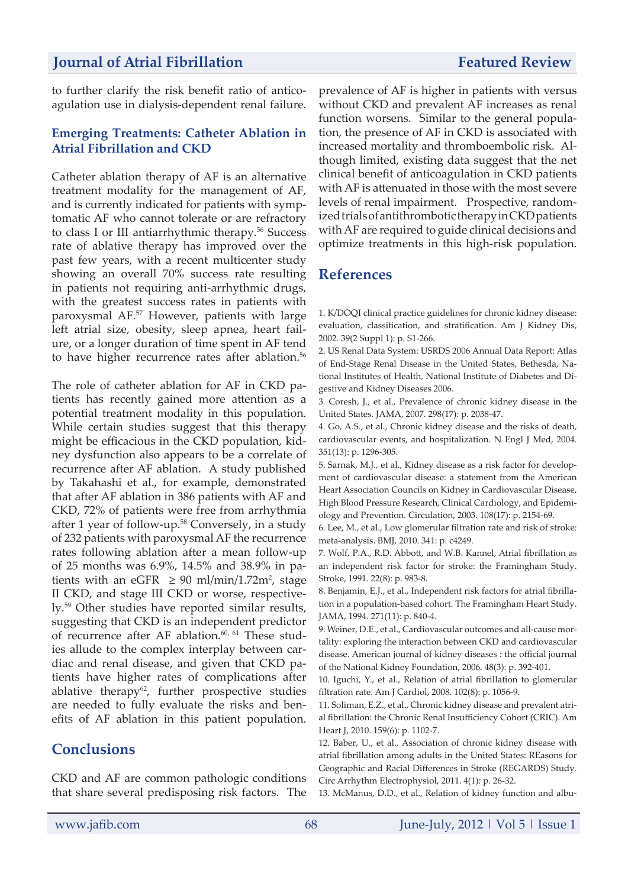to further clarify the risk benefit ratio of anticoagulation use in dialysis-dependent renal failure.

#### **Emerging Treatments: Catheter Ablation in Atrial Fibrillation and CKD**

Catheter ablation therapy of AF is an alternative treatment modality for the management of AF, and is currently indicated for patients with symptomatic AF who cannot tolerate or are refractory to class I or III antiarrhythmic therapy.56 Success rate of ablative therapy has improved over the past few years, with a recent multicenter study showing an overall 70% success rate resulting in patients not requiring anti-arrhythmic drugs, with the greatest success rates in patients with paroxysmal AF.57 However, patients with large left atrial size, obesity, sleep apnea, heart failure, or a longer duration of time spent in AF tend to have higher recurrence rates after ablation.<sup>56</sup>

The role of catheter ablation for AF in CKD patients has recently gained more attention as a potential treatment modality in this population. While certain studies suggest that this therapy might be efficacious in the CKD population, kidney dysfunction also appears to be a correlate of recurrence after AF ablation. A study published by Takahashi et al., for example, demonstrated that after AF ablation in 386 patients with AF and CKD, 72% of patients were free from arrhythmia after 1 year of follow-up.58 Conversely, in a study of 232 patients with paroxysmal AF the recurrence rates following ablation after a mean follow-up of 25 months was 6.9%, 14.5% and 38.9% in patients with an eGFR  $\geq$  90 ml/min/1.72m<sup>2</sup>, stage II CKD, and stage III CKD or worse, respectively.59 Other studies have reported similar results, suggesting that CKD is an independent predictor of recurrence after AF ablation. $60, 61$  These studies allude to the complex interplay between cardiac and renal disease, and given that CKD patients have higher rates of complications after ablative therapy<sup>62</sup>, further prospective studies are needed to fully evaluate the risks and benefits of AF ablation in this patient population.

## **Conclusions**

CKD and AF are common pathologic conditions that share several predisposing risk factors. The prevalence of AF is higher in patients with versus without CKD and prevalent AF increases as renal function worsens. Similar to the general population, the presence of AF in CKD is associated with increased mortality and thromboembolic risk. Although limited, existing data suggest that the net clinical benefit of anticoagulation in CKD patients with AF is attenuated in those with the most severe levels of renal impairment. Prospective, randomized trials of antithrombotic therapy in CKD patients with AF are required to guide clinical decisions and optimize treatments in this high-risk population.

## **References**

1. K/DOQI clinical practice guidelines for chronic kidney disease: evaluation, classification, and stratification. Am J Kidney Dis, 2002. 39(2 Suppl 1): p. S1-266.

2. US Renal Data System: USRDS 2006 Annual Data Report: Atlas of End-Stage Renal Disease in the United States, Bethesda, National Institutes of Health, National Institute of Diabetes and Digestive and Kidney Diseases 2006.

3. Coresh, J., et al., Prevalence of chronic kidney disease in the United States. JAMA, 2007. 298(17): p. 2038-47.

4. Go, A.S., et al., Chronic kidney disease and the risks of death, cardiovascular events, and hospitalization. N Engl J Med, 2004. 351(13): p. 1296-305.

5. Sarnak, M.J., et al., Kidney disease as a risk factor for development of cardiovascular disease: a statement from the American Heart Association Councils on Kidney in Cardiovascular Disease, High Blood Pressure Research, Clinical Cardiology, and Epidemiology and Prevention. Circulation, 2003. 108(17): p. 2154-69.

6. Lee, M., et al., Low glomerular filtration rate and risk of stroke: meta-analysis. BMJ, 2010. 341: p. c4249.

7. Wolf, P.A., R.D. Abbott, and W.B. Kannel, Atrial fibrillation as an independent risk factor for stroke: the Framingham Study. Stroke, 1991. 22(8): p. 983-8.

8. Benjamin, E.J., et al., Independent risk factors for atrial fibrillation in a population-based cohort. The Framingham Heart Study. JAMA, 1994. 271(11): p. 840-4.

9. Weiner, D.E., et al., Cardiovascular outcomes and all-cause mortality: exploring the interaction between CKD and cardiovascular disease. American journal of kidney diseases : the official journal of the National Kidney Foundation, 2006. 48(3): p. 392-401.

10. Iguchi, Y., et al., Relation of atrial fibrillation to glomerular filtration rate. Am J Cardiol, 2008. 102(8): p. 1056-9.

11. Soliman, E.Z., et al., Chronic kidney disease and prevalent atrial fibrillation: the Chronic Renal Insufficiency Cohort (CRIC). Am Heart J, 2010. 159(6): p. 1102-7.

12. Baber, U., et al., Association of chronic kidney disease with atrial fibrillation among adults in the United States: REasons for Geographic and Racial Differences in Stroke (REGARDS) Study. Circ Arrhythm Electrophysiol, 2011. 4(1): p. 26-32.

13. McManus, D.D., et al., Relation of kidney function and albu-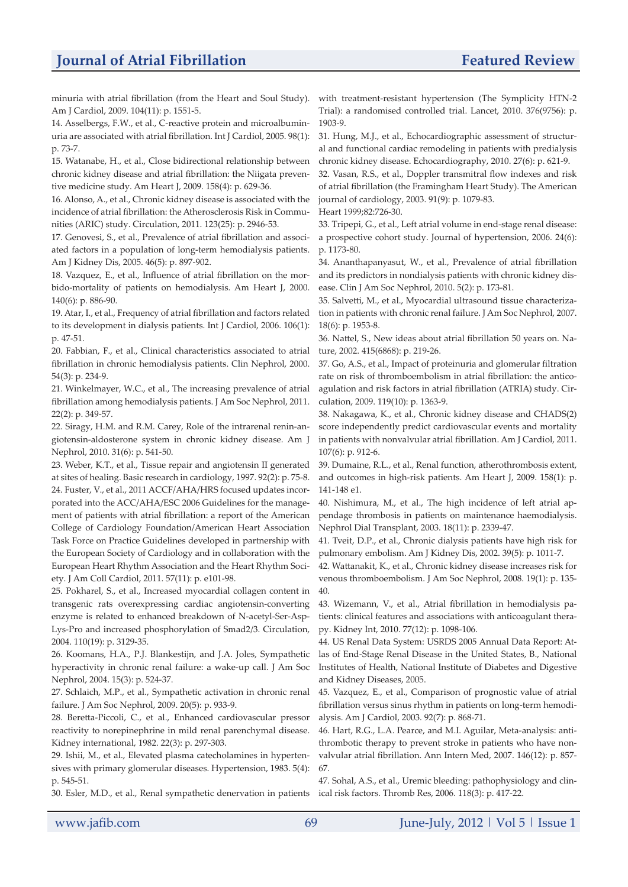minuria with atrial fibrillation (from the Heart and Soul Study). Am J Cardiol, 2009. 104(11): p. 1551-5.

14. Asselbergs, F.W., et al., C-reactive protein and microalbuminuria are associated with atrial fibrillation. Int J Cardiol, 2005. 98(1): p. 73-7.

15. Watanabe, H., et al., Close bidirectional relationship between chronic kidney disease and atrial fibrillation: the Niigata preventive medicine study. Am Heart J, 2009. 158(4): p. 629-36.

16. Alonso, A., et al., Chronic kidney disease is associated with the incidence of atrial fibrillation: the Atherosclerosis Risk in Communities (ARIC) study. Circulation, 2011. 123(25): p. 2946-53.

17. Genovesi, S., et al., Prevalence of atrial fibrillation and associated factors in a population of long-term hemodialysis patients. Am J Kidney Dis, 2005. 46(5): p. 897-902.

18. Vazquez, E., et al., Influence of atrial fibrillation on the morbido-mortality of patients on hemodialysis. Am Heart J, 2000. 140(6): p. 886-90.

19. Atar, I., et al., Frequency of atrial fibrillation and factors related to its development in dialysis patients. Int J Cardiol, 2006. 106(1): p. 47-51.

20. Fabbian, F., et al., Clinical characteristics associated to atrial fibrillation in chronic hemodialysis patients. Clin Nephrol, 2000. 54(3): p. 234-9.

21. Winkelmayer, W.C., et al., The increasing prevalence of atrial fibrillation among hemodialysis patients. J Am Soc Nephrol, 2011. 22(2): p. 349-57.

22. Siragy, H.M. and R.M. Carey, Role of the intrarenal renin-angiotensin-aldosterone system in chronic kidney disease. Am J Nephrol, 2010. 31(6): p. 541-50.

23. Weber, K.T., et al., Tissue repair and angiotensin II generated at sites of healing. Basic research in cardiology, 1997. 92(2): p. 75-8. 24. Fuster, V., et al., 2011 ACCF/AHA/HRS focused updates incorporated into the ACC/AHA/ESC 2006 Guidelines for the management of patients with atrial fibrillation: a report of the American College of Cardiology Foundation/American Heart Association Task Force on Practice Guidelines developed in partnership with the European Society of Cardiology and in collaboration with the European Heart Rhythm Association and the Heart Rhythm Society. J Am Coll Cardiol, 2011. 57(11): p. e101-98.

25. Pokharel, S., et al., Increased myocardial collagen content in transgenic rats overexpressing cardiac angiotensin-converting enzyme is related to enhanced breakdown of N-acetyl-Ser-Asp-Lys-Pro and increased phosphorylation of Smad2/3. Circulation, 2004. 110(19): p. 3129-35.

26. Koomans, H.A., P.J. Blankestijn, and J.A. Joles, Sympathetic hyperactivity in chronic renal failure: a wake-up call. J Am Soc Nephrol, 2004. 15(3): p. 524-37.

27. Schlaich, M.P., et al., Sympathetic activation in chronic renal failure. J Am Soc Nephrol, 2009. 20(5): p. 933-9.

28. Beretta-Piccoli, C., et al., Enhanced cardiovascular pressor reactivity to norepinephrine in mild renal parenchymal disease. Kidney international, 1982. 22(3): p. 297-303.

29. Ishii, M., et al., Elevated plasma catecholamines in hypertensives with primary glomerular diseases. Hypertension, 1983. 5(4): p. 545-51.

30. Esler, M.D., et al., Renal sympathetic denervation in patients

with treatment-resistant hypertension (The Symplicity HTN-2 Trial): a randomised controlled trial. Lancet, 2010. 376(9756): p. 1903-9.

31. Hung, M.J., et al., Echocardiographic assessment of structural and functional cardiac remodeling in patients with predialysis chronic kidney disease. Echocardiography, 2010. 27(6): p. 621-9.

32. Vasan, R.S., et al., Doppler transmitral flow indexes and risk of atrial fibrillation (the Framingham Heart Study). The American journal of cardiology, 2003. 91(9): p. 1079-83.

Heart 1999;82:726-30.

33. Tripepi, G., et al., Left atrial volume in end-stage renal disease: a prospective cohort study. Journal of hypertension, 2006. 24(6): p. 1173-80.

34. Ananthapanyasut, W., et al., Prevalence of atrial fibrillation and its predictors in nondialysis patients with chronic kidney disease. Clin J Am Soc Nephrol, 2010. 5(2): p. 173-81.

35. Salvetti, M., et al., Myocardial ultrasound tissue characterization in patients with chronic renal failure. J Am Soc Nephrol, 2007. 18(6): p. 1953-8.

36. Nattel, S., New ideas about atrial fibrillation 50 years on. Nature, 2002. 415(6868): p. 219-26.

37. Go, A.S., et al., Impact of proteinuria and glomerular filtration rate on risk of thromboembolism in atrial fibrillation: the anticoagulation and risk factors in atrial fibrillation (ATRIA) study. Circulation, 2009. 119(10): p. 1363-9.

38. Nakagawa, K., et al., Chronic kidney disease and CHADS(2) score independently predict cardiovascular events and mortality in patients with nonvalvular atrial fibrillation. Am J Cardiol, 2011. 107(6): p. 912-6.

39. Dumaine, R.L., et al., Renal function, atherothrombosis extent, and outcomes in high-risk patients. Am Heart J, 2009. 158(1): p. 141-148 e1.

40. Nishimura, M., et al., The high incidence of left atrial appendage thrombosis in patients on maintenance haemodialysis. Nephrol Dial Transplant, 2003. 18(11): p. 2339-47.

41. Tveit, D.P., et al., Chronic dialysis patients have high risk for pulmonary embolism. Am J Kidney Dis, 2002. 39(5): p. 1011-7.

42. Wattanakit, K., et al., Chronic kidney disease increases risk for venous thromboembolism. J Am Soc Nephrol, 2008. 19(1): p. 135- 40.

43. Wizemann, V., et al., Atrial fibrillation in hemodialysis patients: clinical features and associations with anticoagulant therapy. Kidney Int, 2010. 77(12): p. 1098-106.

44. US Renal Data System: USRDS 2005 Annual Data Report: Atlas of End-Stage Renal Disease in the United States, B., National Institutes of Health, National Institute of Diabetes and Digestive and Kidney Diseases, 2005.

45. Vazquez, E., et al., Comparison of prognostic value of atrial fibrillation versus sinus rhythm in patients on long-term hemodialysis. Am J Cardiol, 2003. 92(7): p. 868-71.

46. Hart, R.G., L.A. Pearce, and M.I. Aguilar, Meta-analysis: antithrombotic therapy to prevent stroke in patients who have nonvalvular atrial fibrillation. Ann Intern Med, 2007. 146(12): p. 857- 67.

47. Sohal, A.S., et al., Uremic bleeding: pathophysiology and clinical risk factors. Thromb Res, 2006. 118(3): p. 417-22.